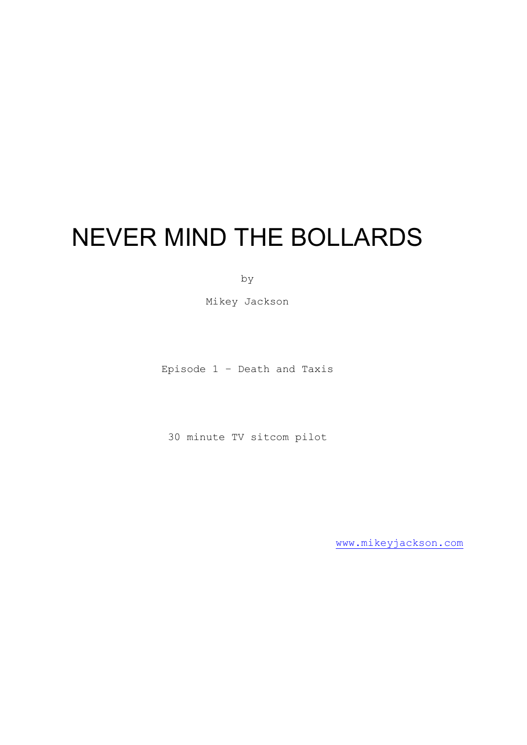# NEVER MIND THE BOLLARDS

by

Mikey Jackson

Episode 1 – Death and Taxis

30 minute TV sitcom pilot

[www.mikeyjackson.com](http://www.mikeyjackson.com/)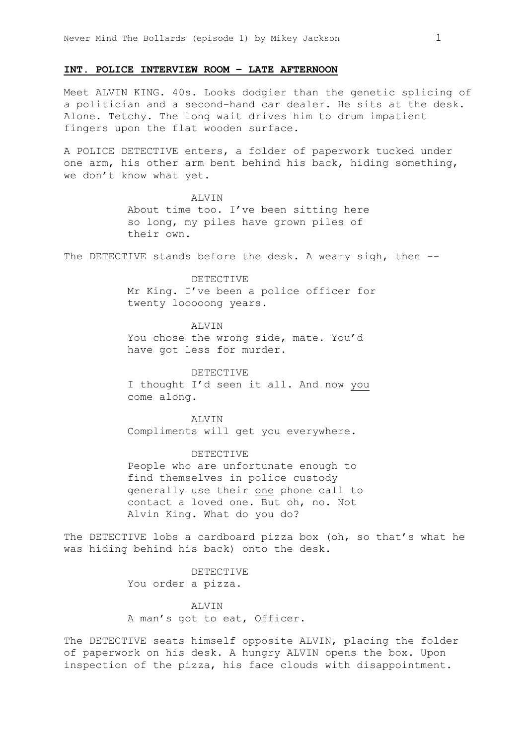# **INT. POLICE INTERVIEW ROOM – LATE AFTERNOON**

Meet ALVIN KING. 40s. Looks dodgier than the genetic splicing of a politician and a second-hand car dealer. He sits at the desk. Alone. Tetchy. The long wait drives him to drum impatient fingers upon the flat wooden surface.

A POLICE DETECTIVE enters, a folder of paperwork tucked under one arm, his other arm bent behind his back, hiding something, we don't know what yet.

> ALVIN About time too. I've been sitting here so long, my piles have grown piles of their own.

The DETECTIVE stands before the desk. A weary sigh, then --

DETECTIVE

Mr King. I've been a police officer for twenty looooong years.

**ALVIN** You chose the wrong side, mate. You'd have got less for murder.

DETECTIVE I thought I'd seen it all. And now you come along.

ALVIN Compliments will get you everywhere.

DETECTIVE People who are unfortunate enough to find themselves in police custody generally use their one phone call to contact a loved one. But oh, no. Not Alvin King. What do you do?

The DETECTIVE lobs a cardboard pizza box (oh, so that's what he was hiding behind his back) onto the desk.

> DETECTIVE You order a pizza.

**ALVIN** A man's got to eat, Officer.

The DETECTIVE seats himself opposite ALVIN, placing the folder of paperwork on his desk. A hungry ALVIN opens the box. Upon inspection of the pizza, his face clouds with disappointment.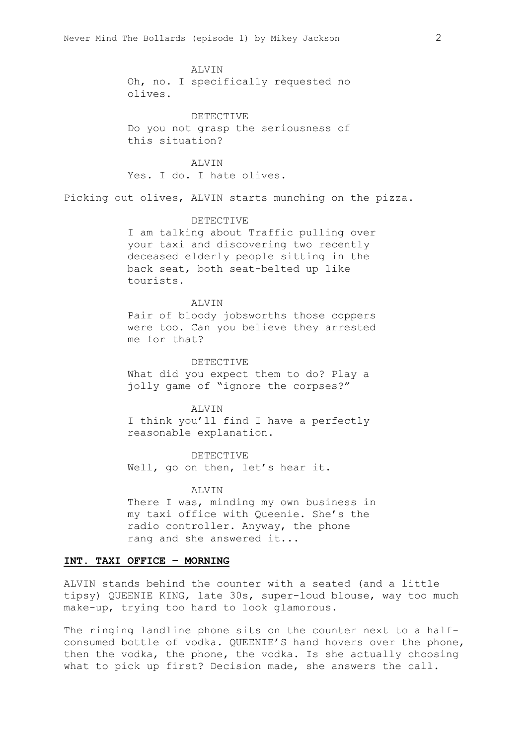ALVIN Oh, no. I specifically requested no olives.

DETECTIVE Do you not grasp the seriousness of this situation?

ALVIN Yes. I do. I hate olives.

Picking out olives, ALVIN starts munching on the pizza.

#### DETECTIVE

I am talking about Traffic pulling over your taxi and discovering two recently deceased elderly people sitting in the back seat, both seat-belted up like tourists.

#### ALVIN

Pair of bloody jobsworths those coppers were too. Can you believe they arrested me for that?

#### DETECTIVE

What did you expect them to do? Play a jolly game of "ignore the corpses?"

#### ALVIN

I think you'll find I have a perfectly reasonable explanation.

DETECTIVE Well, go on then, let's hear it.

# **ALVIN**

There I was, minding my own business in my taxi office with Queenie. She's the radio controller. Anyway, the phone rang and she answered it...

# **INT. TAXI OFFICE – MORNING**

ALVIN stands behind the counter with a seated (and a little tipsy) QUEENIE KING, late 30s, super-loud blouse, way too much make-up, trying too hard to look glamorous.

The ringing landline phone sits on the counter next to a halfconsumed bottle of vodka. QUEENIE'S hand hovers over the phone, then the vodka, the phone, the vodka. Is she actually choosing what to pick up first? Decision made, she answers the call.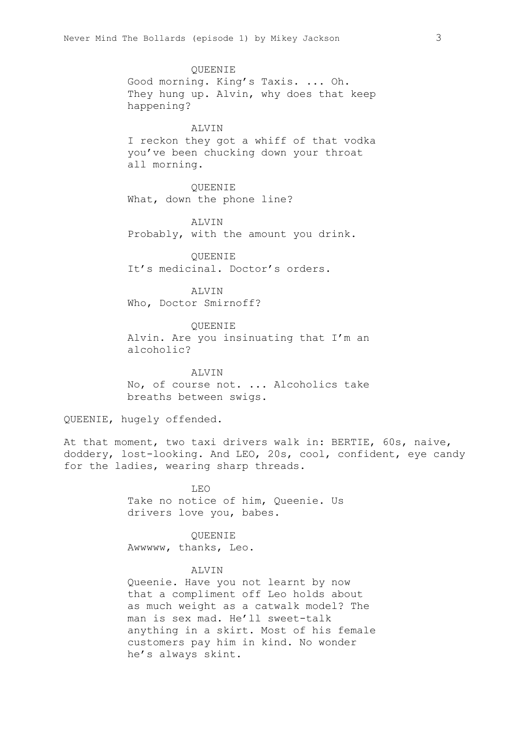QUEENIE Good morning. King's Taxis. ... Oh. They hung up. Alvin, why does that keep happening?

# **ALVIN**

I reckon they got a whiff of that vodka you've been chucking down your throat all morning.

QUEENIE What, down the phone line?

**ALVIN** Probably, with the amount you drink.

QUEENIE It's medicinal. Doctor's orders.

**ALVIN** Who, Doctor Smirnoff?

QUEENIE Alvin. Are you insinuating that I'm an alcoholic?

**ALVIN** No, of course not. ... Alcoholics take breaths between swigs.

QUEENIE, hugely offended.

At that moment, two taxi drivers walk in: BERTIE, 60s, naive, doddery, lost-looking. And LEO, 20s, cool, confident, eye candy for the ladies, wearing sharp threads.

> $L.E.$ Take no notice of him, Queenie. Us drivers love you, babes.

QUEENIE Awwwww, thanks, Leo.

# ALVIN

Queenie. Have you not learnt by now that a compliment off Leo holds about as much weight as a catwalk model? The man is sex mad. He'll sweet-talk anything in a skirt. Most of his female customers pay him in kind. No wonder he's always skint.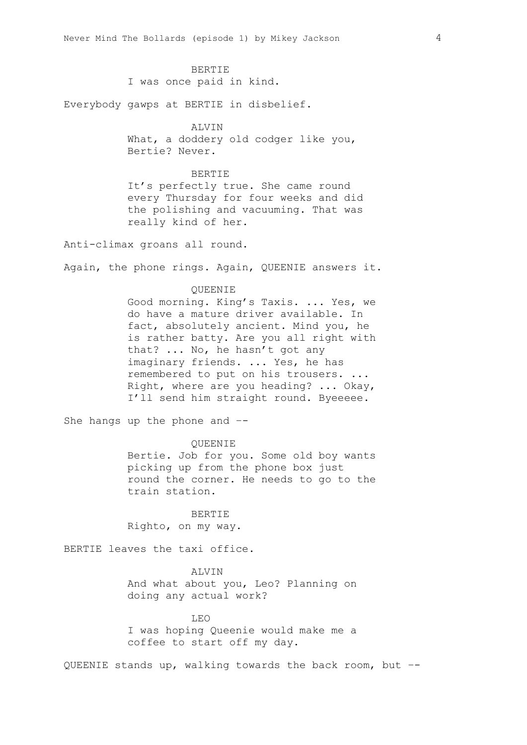#### BERTIE

I was once paid in kind.

Everybody gawps at BERTIE in disbelief.

#### ALVIN

What, a doddery old codger like you, Bertie? Never.

# BERTIE

It's perfectly true. She came round every Thursday for four weeks and did the polishing and vacuuming. That was really kind of her.

Anti-climax groans all round.

Again, the phone rings. Again, QUEENIE answers it.

#### QUEENIE

Good morning. King's Taxis. ... Yes, we do have a mature driver available. In fact, absolutely ancient. Mind you, he is rather batty. Are you all right with that? ... No, he hasn't got any imaginary friends. ... Yes, he has remembered to put on his trousers. ... Right, where are you heading? ... Okay, I'll send him straight round. Byeeeee.

She hangs up the phone and –-

#### QUEENIE

Bertie. Job for you. Some old boy wants picking up from the phone box just round the corner. He needs to go to the train station.

BERTIE Righto, on my way.

BERTIE leaves the taxi office.

# ALVIN

And what about you, Leo? Planning on doing any actual work?

#### LEO

I was hoping Queenie would make me a coffee to start off my day.

QUEENIE stands up, walking towards the back room, but –-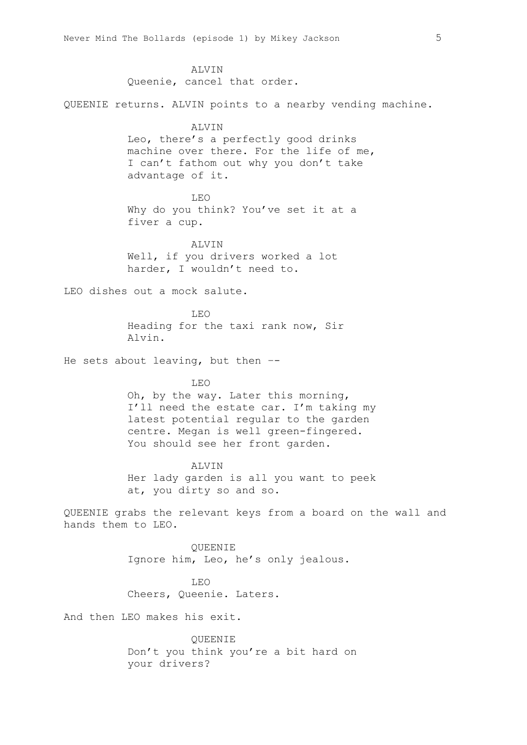ALVIN Queenie, cancel that order.

QUEENIE returns. ALVIN points to a nearby vending machine.

#### ALVIN

Leo, there's a perfectly good drinks machine over there. For the life of me, I can't fathom out why you don't take advantage of it.

LEO Why do you think? You've set it at a fiver a cup.

**ALVIN** Well, if you drivers worked a lot harder, I wouldn't need to.

LEO dishes out a mock salute.

LEO Heading for the taxi rank now, Sir Alvin.

He sets about leaving, but then –-

# LEO

Oh, by the way. Later this morning, I'll need the estate car. I'm taking my latest potential regular to the garden centre. Megan is well green-fingered. You should see her front garden.

#### **ALVIN**

Her lady garden is all you want to peek at, you dirty so and so.

QUEENIE grabs the relevant keys from a board on the wall and hands them to LEO.

> QUEENIE Ignore him, Leo, he's only jealous.

LEO Cheers, Queenie. Laters.

And then LEO makes his exit.

QUEENIE Don't you think you're a bit hard on your drivers?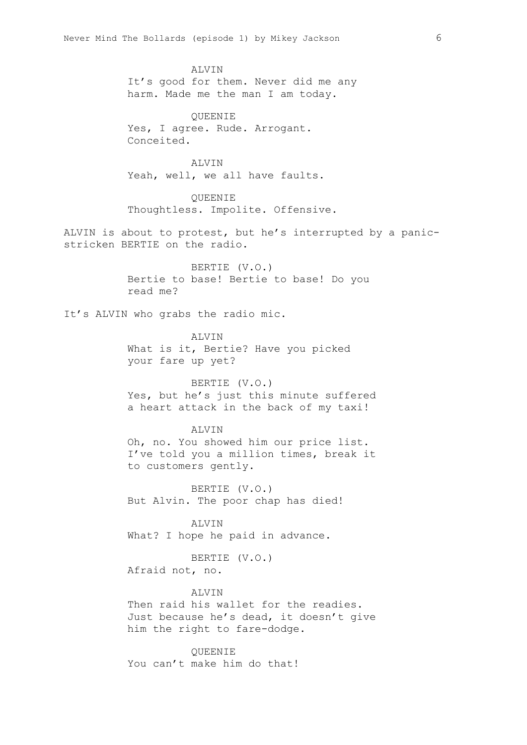ALVIN It's good for them. Never did me any harm. Made me the man I am today.

QUEENIE Yes, I agree. Rude. Arrogant. Conceited.

ALVIN Yeah, well, we all have faults.

QUEENIE Thoughtless. Impolite. Offensive.

ALVIN is about to protest, but he's interrupted by a panicstricken BERTIE on the radio.

> BERTIE (V.O.) Bertie to base! Bertie to base! Do you read me?

It's ALVIN who grabs the radio mic.

**ALVIN** What is it, Bertie? Have you picked your fare up yet?

BERTIE (V.O.) Yes, but he's just this minute suffered a heart attack in the back of my taxi!

# ALVIN

Oh, no. You showed him our price list. I've told you a million times, break it to customers gently.

BERTIE (V.O.) But Alvin. The poor chap has died!

ALVIN What? I hope he paid in advance.

BERTIE (V.O.) Afraid not, no.

#### ALVIN

Then raid his wallet for the readies. Just because he's dead, it doesn't give him the right to fare-dodge.

QUEENIE You can't make him do that!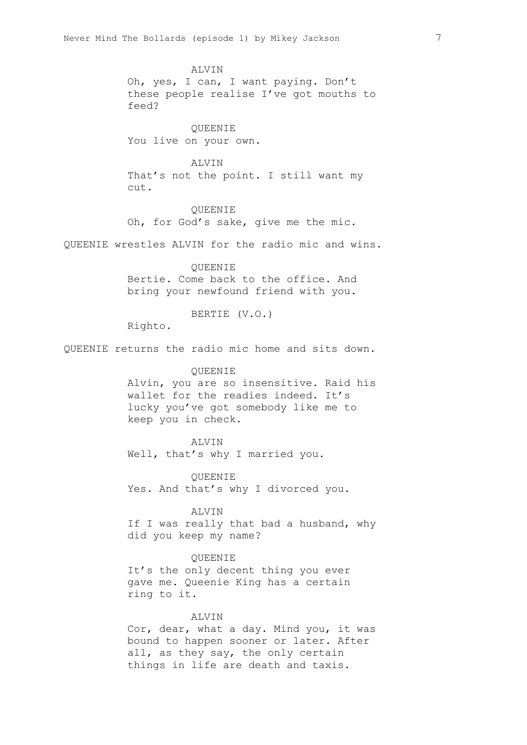ALVIN Oh, yes, I can, I want paying. Don't these people realise I've got mouths to feed? QUEENIE You live on your own. ALVIN That's not the point. I still want my cut. QUEENIE Oh, for God's sake, give me the mic. QUEENIE wrestles ALVIN for the radio mic and wins. QUEENIE Bertie. Come back to the office. And bring your newfound friend with you. BERTIE (V.O.) Righto. QUEENIE returns the radio mic home and sits down. QUEENIE Alvin, you are so insensitive. Raid his wallet for the readies indeed. It's lucky you've got somebody like me to keep you in check. ALVIN Well, that's why I married you. QUEENIE Yes. And that's why I divorced you. ALVIN If I was really that bad a husband, why did you keep my name? QUEENIE It's the only decent thing you ever gave me. Queenie King has a certain ring to it. ALVIN

> Cor, dear, what a day. Mind you, it was bound to happen sooner or later. After all, as they say, the only certain things in life are death and taxis.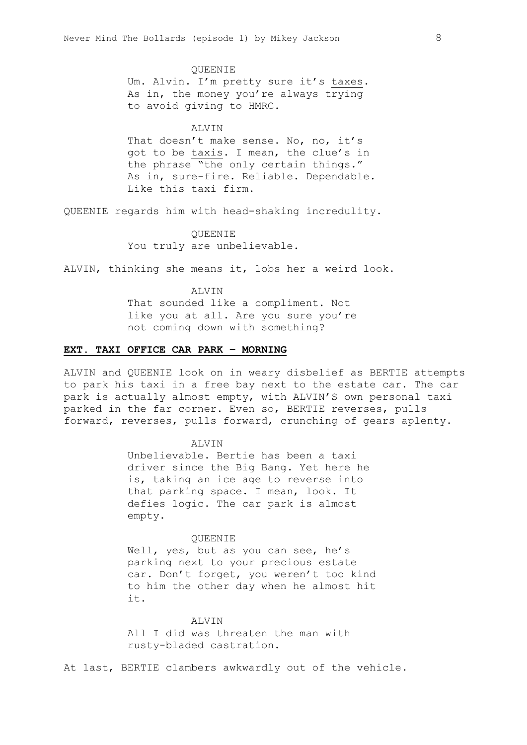#### QUEENIE

Um. Alvin. I'm pretty sure it's taxes. As in, the money you're always trying to avoid giving to HMRC.

#### ALVIN

That doesn't make sense. No, no, it's got to be taxis. I mean, the clue's in the phrase "the only certain things." As in, sure-fire. Reliable. Dependable. Like this taxi firm.

QUEENIE regards him with head-shaking incredulity.

QUEENIE You truly are unbelievable.

ALVIN, thinking she means it, lobs her a weird look.

#### ALVIN

That sounded like a compliment. Not like you at all. Are you sure you're not coming down with something?

#### **EXT. TAXI OFFICE CAR PARK – MORNING**

ALVIN and QUEENIE look on in weary disbelief as BERTIE attempts to park his taxi in a free bay next to the estate car. The car park is actually almost empty, with ALVIN'S own personal taxi parked in the far corner. Even so, BERTIE reverses, pulls forward, reverses, pulls forward, crunching of gears aplenty.

# ALVIN

Unbelievable. Bertie has been a taxi driver since the Big Bang. Yet here he is, taking an ice age to reverse into that parking space. I mean, look. It defies logic. The car park is almost empty.

#### **OUEENIE**

Well, yes, but as you can see, he's parking next to your precious estate car. Don't forget, you weren't too kind to him the other day when he almost hit it.

ALVIN All I did was threaten the man with rusty-bladed castration.

At last, BERTIE clambers awkwardly out of the vehicle.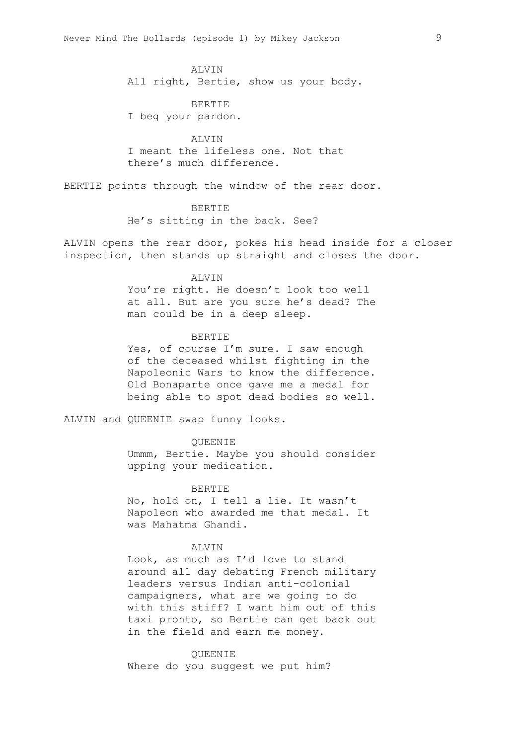# ALVIN

All right, Bertie, show us your body.

BERTIE I beg your pardon.

**ALVIN** I meant the lifeless one. Not that there's much difference.

BERTIE points through the window of the rear door.

BERTIE He's sitting in the back. See?

ALVIN opens the rear door, pokes his head inside for a closer inspection, then stands up straight and closes the door.

#### **ALVIN**

You're right. He doesn't look too well at all. But are you sure he's dead? The man could be in a deep sleep.

#### BERTIE

Yes, of course I'm sure. I saw enough of the deceased whilst fighting in the Napoleonic Wars to know the difference. Old Bonaparte once gave me a medal for being able to spot dead bodies so well.

ALVIN and QUEENIE swap funny looks.

# QUEENIE

Ummm, Bertie. Maybe you should consider upping your medication.

# BERTIE

No, hold on, I tell a lie. It wasn't Napoleon who awarded me that medal. It was Mahatma Ghandi.

# ALVIN

Look, as much as I'd love to stand around all day debating French military leaders versus Indian anti-colonial campaigners, what are we going to do with this stiff? I want him out of this taxi pronto, so Bertie can get back out in the field and earn me money.

# QUEENIE

Where do you suggest we put him?